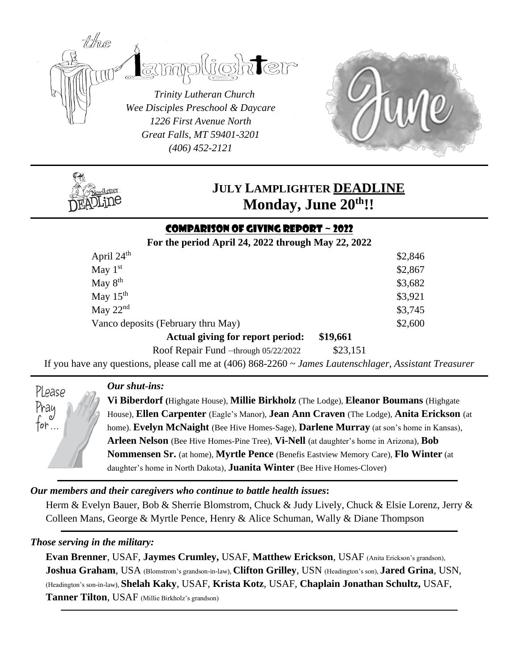

*Great Falls, MT 59401-3201 (406) 452-2121*



# **JULY LAMPLIGHTER DEADLINE Monday, June 20th!!**

# Comparison of Giving Report ~ 2022

**For the period April 24, 2022 through May 22, 2022**

| April $24th$                       | \$2,846  |
|------------------------------------|----------|
| May $1st$                          | \$2,867  |
| May $8th$                          | \$3,682  |
| May $15th$                         | \$3,921  |
| May $22nd$                         | \$3,745  |
| Vanco deposits (February thru May) | \$2,600  |
| Actual giving for report period:   | \$19,661 |
| n Ch'n I a second                  | 0.00171  |

Roof Repair Fund –through 05/22/2022 \$23,151

If you have any questions, please call me at (406) 868-2260 ~ *James Lautenschlager, Assistant Treasurer*

*Our shut-ins:*

**Vi Biberdorf (**Highgate House), **Millie Birkholz** (The Lodge), **Eleanor Boumans** (Highgate House), **Ellen Carpenter** (Eagle's Manor), **Jean Ann Craven** (The Lodge), **Anita Erickson** (at home). **Evelyn McNaight** (Bee Hive Homes-Sage), **Darlene Murray** (at son's home in Kansas), **Arleen Nelson** (Bee Hive Homes-Pine Tree), **Vi-Nell** (at daughter's home in Arizona), **Bob Nommensen Sr.** (at home), **Myrtle Pence** (Benefis Eastview Memory Care), **Flo Winter** (at daughter's home in North Dakota), **Juanita Winter** (Bee Hive Homes-Clover)

## *Our members and their caregivers who continue to battle health issues***:**

Herm & Evelyn Bauer, Bob & Sherrie Blomstrom, Chuck & Judy Lively, Chuck & Elsie Lorenz, Jerry & Colleen Mans, George & Myrtle Pence, Henry & Alice Schuman, Wally & Diane Thompson

#### *Those serving in the military:*

Please Prau

tor…

**Evan Brenner**, USAF, **Jaymes Crumley,** USAF, **Matthew Erickson**, USAF (Anita Erickson's grandson), **Joshua Graham**, USA (Blomstrom's grandson-in-law), **Clifton Grilley**, USN (Headington's son), **Jared Grina**, USN, (Headington's son-in-law), **Shelah Kaky**, USAF, **Krista Kotz**, USAF, **Chaplain Jonathan Schultz,** USAF, **Tanner Tilton**, USAF (Millie Birkholz's grandson)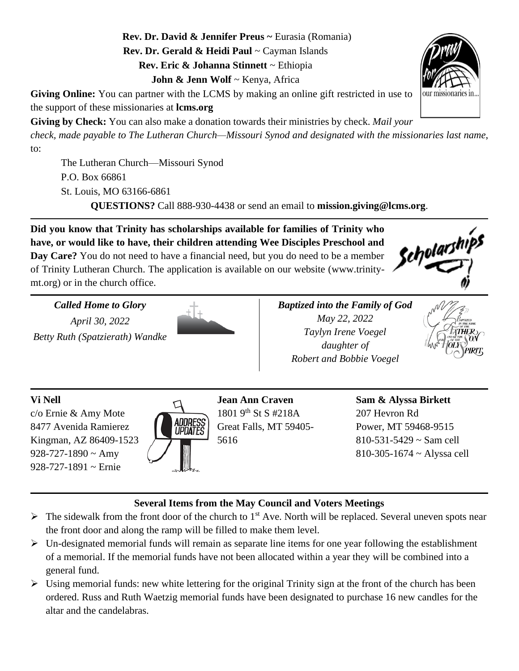**Rev. Dr. David & Jennifer Preus ~** Eurasia (Romania) **Rev. Dr. Gerald & Heidi Paul** ~ Cayman Islands **Rev. Eric & Johanna Stinnett** ~ Ethiopia **John & Jenn Wolf** ~ Kenya, Africa

**Giving Online:** You can partner with the LCMS by making an online gift restricted in use to the support of these missionaries at **lcms.org**

**Giving by Check:** You can also make a donation towards their ministries by check. *Mail your* 

*check, made payable to The Lutheran Church—Missouri Synod and designated with the missionaries last name*, to:

The Lutheran Church—Missouri Synod P.O. Box 66861 St. Louis, MO 63166-6861

**QUESTIONS?** Call 888-930-4438 or send an email to **mission.giving@lcms.org**.

**Did you know that Trinity has scholarships available for families of Trinity who have, or would like to have, their children attending Wee Disciples Preschool and Day Care?** You do not need to have a financial need, but you do need to be a member of Trinity Lutheran Church. The application is available on our website (www.trinitymt.org) or in the church office.

*Called Home to Glory April 30, 2022*

*Betty Ruth (Spatzierath) Wandke*



*Baptized into the Family of God May 22, 2022 Taylyn Irene Voegel daughter of Robert and Bobbie Voegel*



Scholarships

# **Vi Nell**

c/o Ernie & Amy Mote 8477 Avenida Ramierez Kingman, AZ 86409-1523  $928 - 727 - 1890 \sim \text{Amy}$ 928-727-1891 ~ Ernie



**Jean Ann Craven** 1801 9<sup>th</sup> St S #218A Great Falls, MT 59405- 5616

**Sam & Alyssa Birkett** 207 Hevron Rd Power, MT 59468-9515  $810 - 531 - 5429 \approx$  Sam cell 810-305-1674 ~ Alyssa cell

# **Several Items from the May Council and Voters Meetings**

- $\triangleright$  The sidewalk from the front door of the church to 1<sup>st</sup> Ave. North will be replaced. Several uneven spots near the front door and along the ramp will be filled to make them level.
- ➢ Un-designated memorial funds will remain as separate line items for one year following the establishment of a memorial. If the memorial funds have not been allocated within a year they will be combined into a general fund.
- $\triangleright$  Using memorial funds: new white lettering for the original Trinity sign at the front of the church has been ordered. Russ and Ruth Waetzig memorial funds have been designated to purchase 16 new candles for the altar and the candelabras.

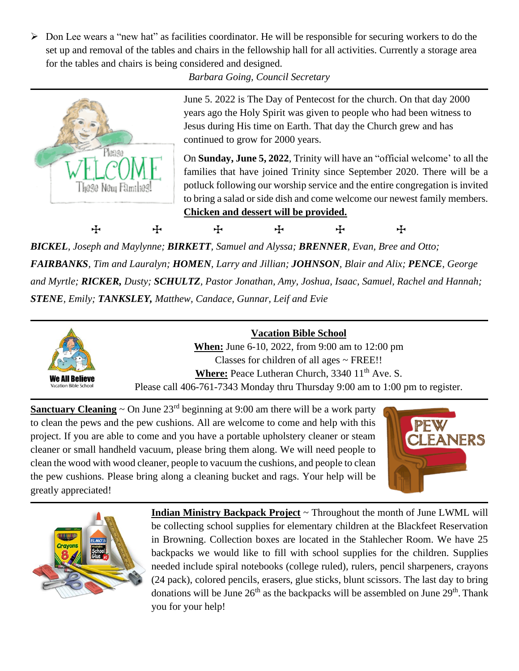➢ Don Lee wears a "new hat" as facilities coordinator. He will be responsible for securing workers to do the set up and removal of the tables and chairs in the fellowship hall for all activities. Currently a storage area for the tables and chairs is being considered and designed.

*Barbara Going, Council Secretary*



June 5. 2022 is The Day of Pentecost for the church. On that day 2000 years ago the Holy Spirit was given to people who had been witness to Jesus during His time on Earth. That day the Church grew and has continued to grow for 2000 years.

On **Sunday, June 5, 2022**, Trinity will have an "official welcome' to all the families that have joined Trinity since September 2020. There will be a potluck following our worship service and the entire congregation is invited to bring a salad or side dish and come welcome our newest family members. **Chicken and dessert will be provided.**

+ + + + +

*BICKEL, Joseph and Maylynne; BIRKETT, Samuel and Alyssa; BRENNER, Evan, Bree and Otto; FAIRBANKS, Tim and Lauralyn; HOMEN, Larry and Jillian; JOHNSON, Blair and Alix; PENCE, George and Myrtle; RICKER, Dusty; SCHULTZ, Pastor Jonathan, Amy, Joshua, Isaac, Samuel, Rachel and Hannah; STENE, Emily; TANKSLEY, Matthew, Candace, Gunnar, Leif and Evie*



# **Vacation Bible School**

**When:** June 6-10, 2022, from 9:00 am to 12:00 pm Classes for children of all ages ~ FREE!! Where: Peace Lutheran Church, 3340 11<sup>th</sup> Ave. S. Please call 406-761-7343 Monday thru Thursday 9:00 am to 1:00 pm to register.

**Sanctuary Cleaning**  $\sim$  On June 23<sup>rd</sup> beginning at 9:00 am there will be a work party to clean the pews and the pew cushions. All are welcome to come and help with this project. If you are able to come and you have a portable upholstery cleaner or steam cleaner or small handheld vacuum, please bring them along. We will need people to clean the wood with wood cleaner, people to vacuum the cushions, and people to clean the pew cushions. Please bring along a cleaning bucket and rags. Your help will be greatly appreciated!





**Indian Ministry Backpack Project** ~ Throughout the month of June LWML will be collecting school supplies for elementary children at the Blackfeet Reservation in Browning. Collection boxes are located in the Stahlecher Room. We have 25 backpacks we would like to fill with school supplies for the children. Supplies needed include spiral notebooks (college ruled), rulers, pencil sharpeners, crayons (24 pack), colored pencils, erasers, glue sticks, blunt scissors. The last day to bring donations will be June  $26<sup>th</sup>$  as the backpacks will be assembled on June  $29<sup>th</sup>$ . Thank you for your help!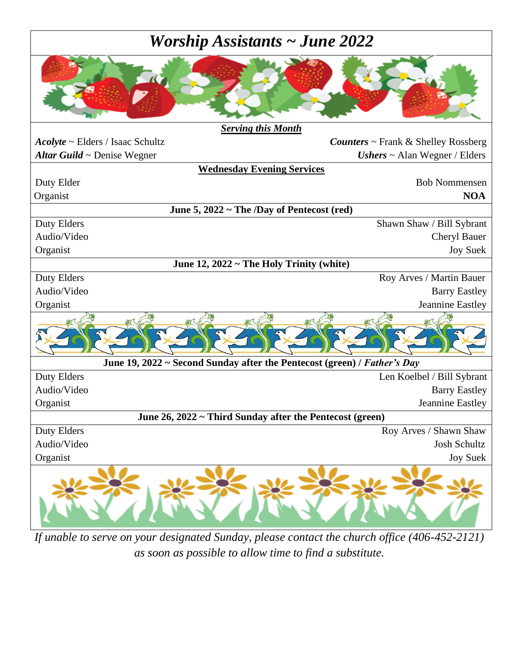# *Worship Assistants ~ June 2022*



*If unable to serve on your designated Sunday, please contact the church office (406-452-2121) as soon as possible to allow time to find a substitute.*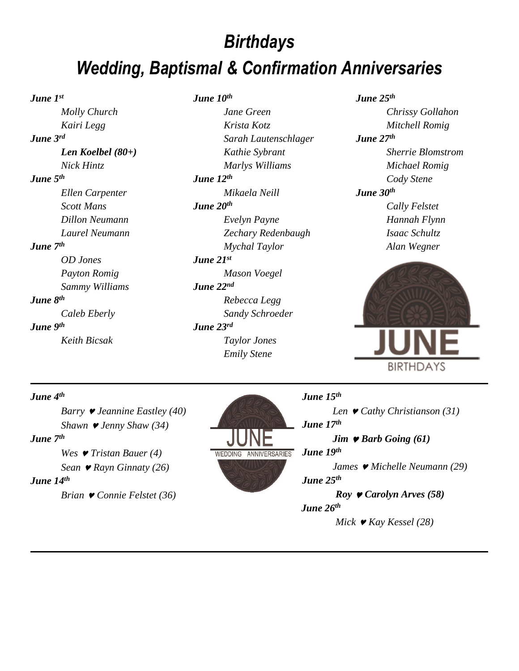# *Birthdays Wedding, Baptismal & Confirmation Anniversaries*

*June 1st*

# *Molly Church Kairi Legg June 3rd Len Koelbel (80+) Nick Hintz June 5th Ellen Carpenter Scott Mans Dillon Neumann Laurel Neumann June 7th OD Jones Payton Romig Sammy Williams June 8th*

*Caleb Eberly June 9th Keith Bicsak*

### *June 10th*

*Jane Green Krista Kotz Sarah Lautenschlager Kathie Sybrant Marlys Williams June 12th Mikaela Neill June 20th Evelyn Payne Zechary Redenbaugh Mychal Taylor June 21st Mason Voegel June 22nd Rebecca Legg Sandy Schroeder June 23rd Taylor Jones Emily Stene*

*June 25th*

*Chrissy Gollahon Mitchell Romig June 27th Sherrie Blomstrom Michael Romig Cody Stene June 30th Cally Felstet Hannah Flynn Isaac Schultz Alan Wegner*



#### *June 4th*

*Barry Jeannine Eastley (40) Shawn Jenny Shaw (34) June 7th Wes Tristan Bauer (4) Sean Rayn Ginnaty (26) June 14th Brian Connie Felstet (36)*



#### *June 15th*

*Len Cathy Christianson (31) June 17th Jim Barb Going (61) June 19th James Michelle Neumann (29) June 25th Roy Carolyn Arves (58) June 26th Mick Kay Kessel (28)*